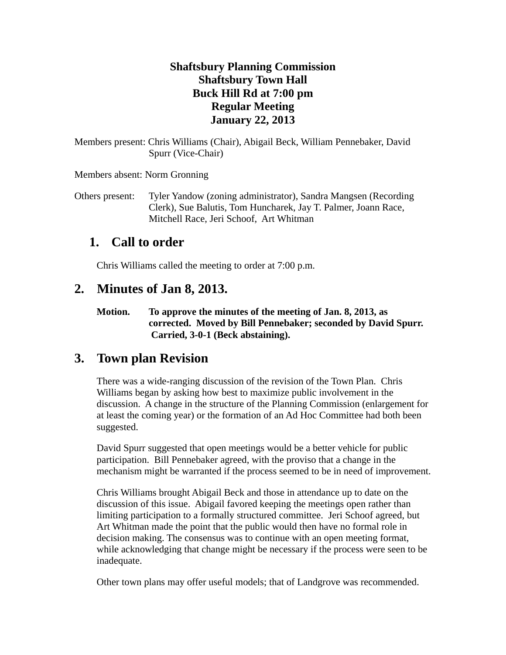#### **Shaftsbury Planning Commission Shaftsbury Town Hall Buck Hill Rd at 7:00 pm Regular Meeting January 22, 2013**

Members present: Chris Williams (Chair), Abigail Beck, William Pennebaker, David Spurr (Vice-Chair)

Members absent: Norm Gronning

Others present: Tyler Yandow (zoning administrator), Sandra Mangsen (Recording Clerk), Sue Balutis, Tom Huncharek, Jay T. Palmer, Joann Race, Mitchell Race, Jeri Schoof, Art Whitman

# **1. Call to order**

Chris Williams called the meeting to order at 7:00 p.m.

### **2. Minutes of Jan 8, 2013.**

**Motion. To approve the minutes of the meeting of Jan. 8, 2013, as corrected. Moved by Bill Pennebaker; seconded by David Spurr. Carried, 3-0-1 (Beck abstaining).**

# **3. Town plan Revision**

There was a wide-ranging discussion of the revision of the Town Plan. Chris Williams began by asking how best to maximize public involvement in the discussion. A change in the structure of the Planning Commission (enlargement for at least the coming year) or the formation of an Ad Hoc Committee had both been suggested.

David Spurr suggested that open meetings would be a better vehicle for public participation. Bill Pennebaker agreed, with the proviso that a change in the mechanism might be warranted if the process seemed to be in need of improvement.

Chris Williams brought Abigail Beck and those in attendance up to date on the discussion of this issue. Abigail favored keeping the meetings open rather than limiting participation to a formally structured committee. Jeri Schoof agreed, but Art Whitman made the point that the public would then have no formal role in decision making. The consensus was to continue with an open meeting format, while acknowledging that change might be necessary if the process were seen to be inadequate.

Other town plans may offer useful models; that of Landgrove was recommended.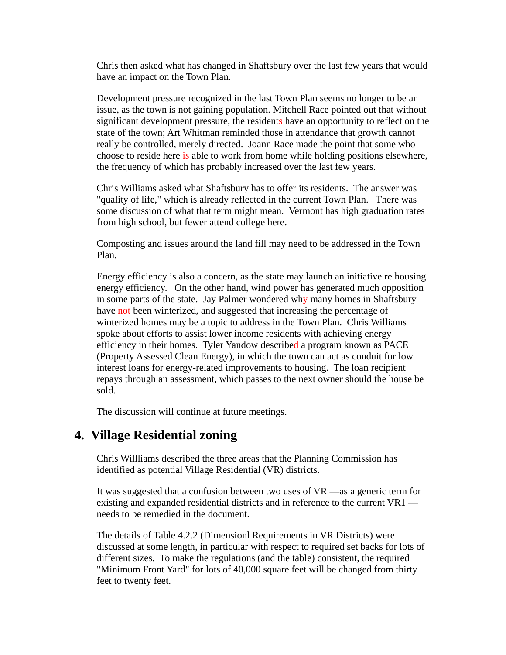Chris then asked what has changed in Shaftsbury over the last few years that would have an impact on the Town Plan.

Development pressure recognized in the last Town Plan seems no longer to be an issue, as the town is not gaining population. Mitchell Race pointed out that without significant development pressure, the residents have an opportunity to reflect on the state of the town; Art Whitman reminded those in attendance that growth cannot really be controlled, merely directed. Joann Race made the point that some who choose to reside here is able to work from home while holding positions elsewhere, the frequency of which has probably increased over the last few years.

Chris Williams asked what Shaftsbury has to offer its residents. The answer was "quality of life," which is already reflected in the current Town Plan. There was some discussion of what that term might mean. Vermont has high graduation rates from high school, but fewer attend college here.

Composting and issues around the land fill may need to be addressed in the Town Plan.

Energy efficiency is also a concern, as the state may launch an initiative re housing energy efficiency. On the other hand, wind power has generated much opposition in some parts of the state. Jay Palmer wondered why many homes in Shaftsbury have not been winterized, and suggested that increasing the percentage of winterized homes may be a topic to address in the Town Plan. Chris Williams spoke about efforts to assist lower income residents with achieving energy efficiency in their homes. Tyler Yandow described a program known as PACE (Property Assessed Clean Energy), in which the town can act as conduit for low interest loans for energy-related improvements to housing. The loan recipient repays through an assessment, which passes to the next owner should the house be sold.

The discussion will continue at future meetings.

### **4. Village Residential zoning**

Chris Willliams described the three areas that the Planning Commission has identified as potential Village Residential (VR) districts.

It was suggested that a confusion between two uses of VR —as a generic term for existing and expanded residential districts and in reference to the current VR1 needs to be remedied in the document.

The details of Table 4.2.2 (Dimensionl Requirements in VR Districts) were discussed at some length, in particular with respect to required set backs for lots of different sizes. To make the regulations (and the table) consistent, the required "Minimum Front Yard" for lots of 40,000 square feet will be changed from thirty feet to twenty feet.